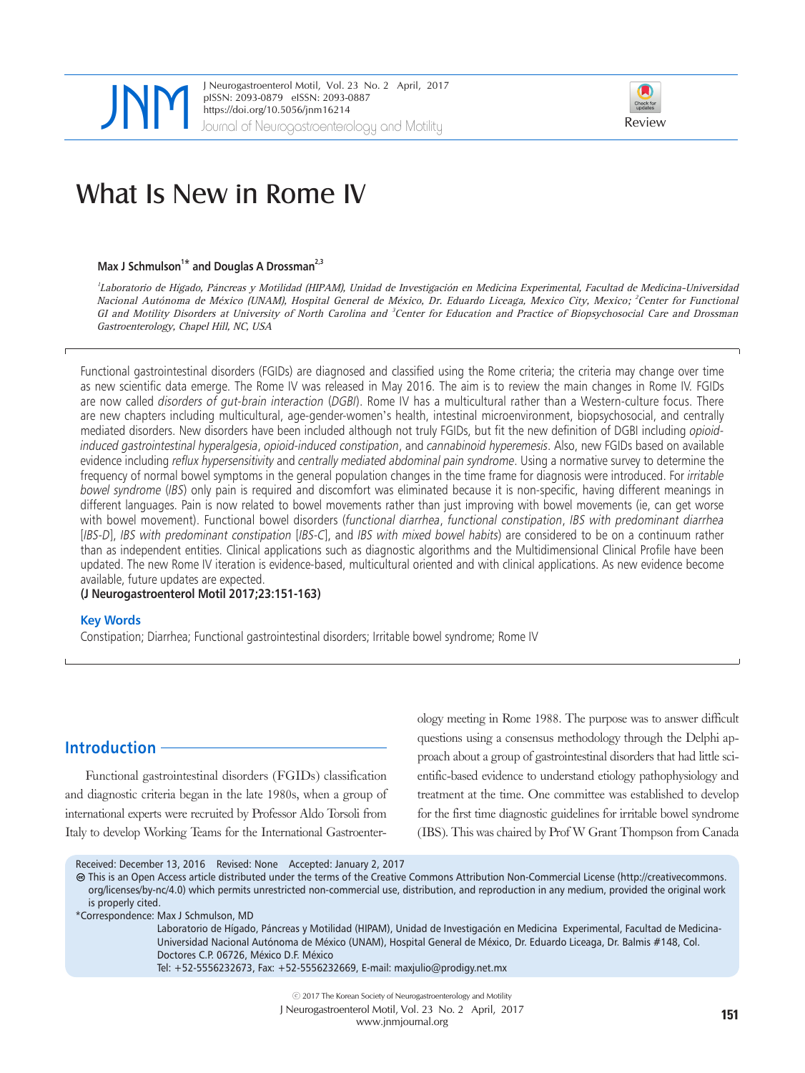

JNeurogastroenterol Motil, Vol. 23 No. 2 April, 2017<br>
pISSN: 2093-0879 eISSN: 2093-0887<br>
https://doi.org/10.5056/jnm16214<br>
Journal of Neurogastroenterology and Motility Review pISSN: 2093-0879 eISSN: 2093-0887 https://doi.org/10.5056/jnm16214



# What Is New in Rome IV

#### Max J Schmulson<sup>1\*</sup> and Douglas A Drossman<sup>2,3</sup>

1 Laboratorio de Hígado, Páncreas y Motilidad (HIPAM), Unidad de Investigación en Medicina Experimental, Facultad de Medicina-Universidad Nacional Autónoma de México (UNAM), Hospital General de México, Dr. Eduardo Liceaga, Mexico City, Mexico; <sup>2</sup>Center for Functional GI and Motility Disorders at University of North Carolina and <sup>3</sup>Center for Education and Practice of Biopsychosocial Care and Drossman Gastroenterology, Chapel Hill, NC, USA

Functional gastrointestinal disorders (FGIDs) are diagnosed and classified using the Rome criteria; the criteria may change over time as new scientific data emerge. The Rome IV was released in May 2016. The aim is to review the main changes in Rome IV. FGIDs are now called disorders of qut-brain interaction (DGBI). Rome IV has a multicultural rather than a Western-culture focus. There are new chapters including multicultural, age-gender-women's health, intestinal microenvironment, biopsychosocial, and centrally mediated disorders. New disorders have been included although not truly FGIDs, but fit the new definition of DGBI including *opioid*induced gastrointestinal hyperalgesia, opioid-induced constipation, and cannabinoid hyperemesis. Also, new FGIDs based on available evidence including *reflux hypersensitivity* and *centrally mediated abdominal pain syndrome*. Using a normative survey to determine the frequency of normal bowel symptoms in the general population changes in the time frame for diagnosis were introduced. For irritable bowel syndrome (IBS) only pain is required and discomfort was eliminated because it is non-specific, having different meanings in different languages. Pain is now related to bowel movements rather than just improving with bowel movements (ie, can get worse with bowel movement). Functional bowel disorders (functional diarrhea, functional constipation, IBS with predominant diarrhea [IBS-D], IBS with predominant constipation [IBS-C], and IBS with mixed bowel habits) are considered to be on a continuum rather than as independent entities. Clinical applications such as diagnostic algorithms and the Multidimensional Clinical Profile have been updated. The new Rome IV iteration is evidence-based, multicultural oriented and with clinical applications. As new evidence become available, future updates are expected.

#### **(J Neurogastroenterol Motil 2017;23:151-163)**

#### **Key Words**

Constipation; Diarrhea; Functional gastrointestinal disorders; Irritable bowel syndrome; Rome IV

# **Introduction**

Functional gastrointestinal disorders (FGIDs) classification and diagnostic criteria began in the late 1980s, when a group of international experts were recruited by Professor Aldo Torsoli from Italy to develop Working Teams for the International Gastroenter-

ology meeting in Rome 1988. The purpose was to answer difficult questions using a consensus methodology through the Delphi approach about a group of gastrointestinal disorders that had little scientific-based evidence to understand etiology pathophysiology and treatment at the time. One committee was established to develop for the first time diagnostic guidelines for irritable bowel syndrome (IBS). This was chaired by Prof W Grant Thompson from Canada

Received: December 13, 2016 Revised: None Accepted: January 2, 2017

This is an Open Access article distributed under the terms of the Creative Commons Attribution Non-Commercial License (http://creativecommons. org/licenses/by-nc/4.0) which permits unrestricted non-commercial use, distribution, and reproduction in any medium, provided the original work is properly cited.

\*Correspondence: Max J Schmulson, MD

Laboratorio de Hígado, Páncreas y Motilidad (HIPAM), Unidad de Investigación en Medicina Experimental, Facultad de Medicina-Universidad Nacional Autónoma de México (UNAM), Hospital General de México, Dr. Eduardo Liceaga, Dr. Balmis #148, Col. Doctores C.P. 06726, México D.F. México

Tel: +52-5556232673, Fax: +52-5556232669, E-mail: [maxjulio@prodigy.net.mx](mailto:maxjulio@prodigy.net.mx)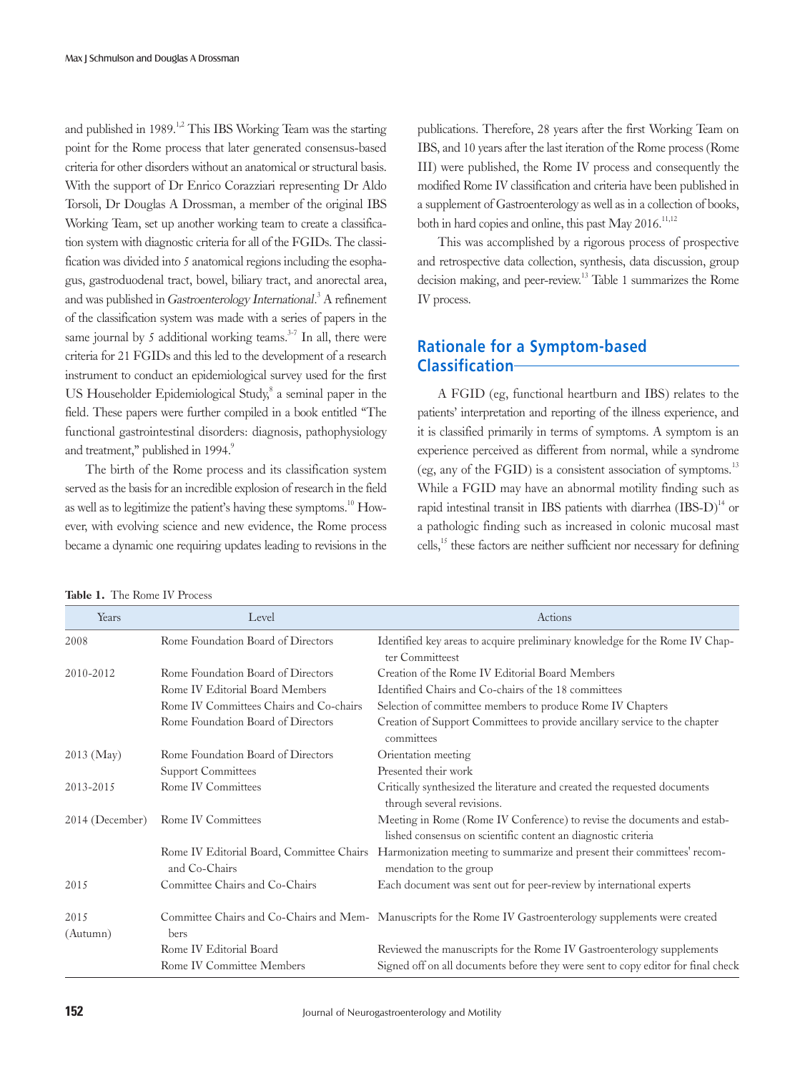and published in 1989.<sup>1,2</sup> This IBS Working Team was the starting point for the Rome process that later generated consensus-based criteria for other disorders without an anatomical or structural basis. With the support of Dr Enrico Corazziari representing Dr Aldo Torsoli, Dr Douglas A Drossman, a member of the original IBS Working Team, set up another working team to create a classification system with diagnostic criteria for all of the FGIDs. The classification was divided into 5 anatomical regions including the esophagus, gastroduodenal tract, bowel, biliary tract, and anorectal area, and was published in Gastroenterology International.<sup>3</sup> A refinement of the classification system was made with a series of papers in the same journal by 5 additional working teams. $3-7$  In all, there were criteria for 21 FGIDs and this led to the development of a research instrument to conduct an epidemiological survey used for the first US Householder Epidemiological Study,<sup>8</sup> a seminal paper in the field. These papers were further compiled in a book entitled "The functional gastrointestinal disorders: diagnosis, pathophysiology and treatment," published in 1994.9

The birth of the Rome process and its classification system served as the basis for an incredible explosion of research in the field as well as to legitimize the patient's having these symptoms.<sup>10</sup> However, with evolving science and new evidence, the Rome process became a dynamic one requiring updates leading to revisions in the

publications. Therefore, 28 years after the first Working Team on IBS, and 10 years after the last iteration of the Rome process (Rome III) were published, the Rome IV process and consequently the modified Rome IV classification and criteria have been published in a supplement of Gastroenterology as well as in a collection of books, both in hard copies and online, this past  $M$ ay 2016.<sup>11,12</sup>

This was accomplished by a rigorous process of prospective and retrospective data collection, synthesis, data discussion, group decision making, and peer-review.<sup>13</sup> Table 1 summarizes the Rome IV process.

# **Rationale for a Symptom-based Classification**

A FGID (eg, functional heartburn and IBS) relates to the patients' interpretation and reporting of the illness experience, and it is classified primarily in terms of symptoms. A symptom is an experience perceived as different from normal, while a syndrome (eg, any of the  $FGID$ ) is a consistent association of symptoms.<sup>13</sup> While a FGID may have an abnormal motility finding such as rapid intestinal transit in IBS patients with diarrhea  $(IBS-D)^{14}$  or a pathologic finding such as increased in colonic mucosal mast cells, $15$  these factors are neither sufficient nor necessary for defining

| Years             | Level                                                      | Actions                                                                                                                                  |
|-------------------|------------------------------------------------------------|------------------------------------------------------------------------------------------------------------------------------------------|
| 2008              | Rome Foundation Board of Directors                         | Identified key areas to acquire preliminary knowledge for the Rome IV Chap-<br>ter Committeest                                           |
| 2010-2012         | Rome Foundation Board of Directors                         | Creation of the Rome IV Editorial Board Members                                                                                          |
|                   | Rome IV Editorial Board Members                            | Identified Chairs and Co-chairs of the 18 committees                                                                                     |
|                   | Rome IV Committees Chairs and Co-chairs                    | Selection of committee members to produce Rome IV Chapters                                                                               |
|                   | Rome Foundation Board of Directors                         | Creation of Support Committees to provide ancillary service to the chapter<br>committees                                                 |
| $2013$ (May)      | Rome Foundation Board of Directors                         | Orientation meeting                                                                                                                      |
|                   | <b>Support Committees</b>                                  | Presented their work                                                                                                                     |
| 2013-2015         | Rome IV Committees                                         | Critically synthesized the literature and created the requested documents<br>through several revisions.                                  |
| $2014$ (December) | Rome IV Committees                                         | Meeting in Rome (Rome IV Conference) to revise the documents and estab-<br>lished consensus on scientific content an diagnostic criteria |
|                   | Rome IV Editorial Board, Committee Chairs<br>and Co-Chairs | Harmonization meeting to summarize and present their committees' recom-<br>mendation to the group                                        |
| 2015              | Committee Chairs and Co-Chairs                             | Each document was sent out for peer-review by international experts                                                                      |
| 2015<br>(Autumn)  | bers                                                       | Committee Chairs and Co-Chairs and Mem-Manuscripts for the Rome IV Gastroenterology supplements were created                             |
|                   | Rome IV Editorial Board                                    | Reviewed the manuscripts for the Rome IV Gastroenterology supplements                                                                    |
|                   | Rome IV Committee Members                                  | Signed off on all documents before they were sent to copy editor for final check                                                         |

| <b>Table 1.</b> The Rome IV Process |  |  |  |  |
|-------------------------------------|--|--|--|--|
|-------------------------------------|--|--|--|--|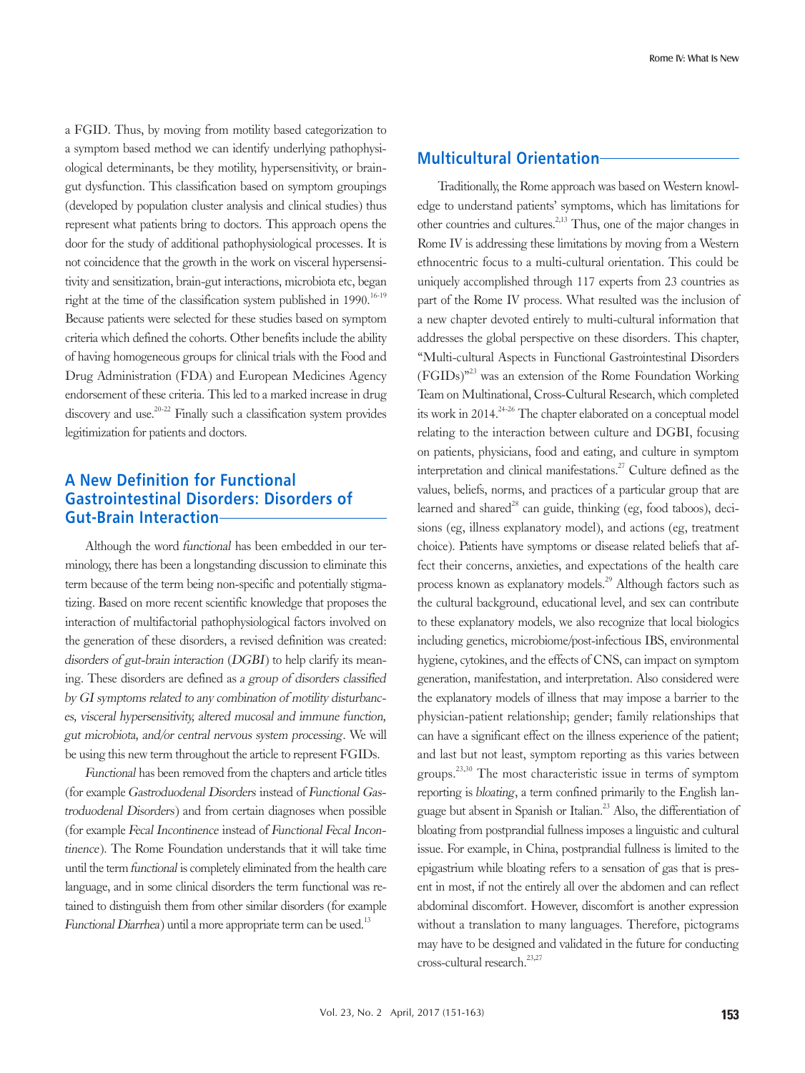a FGID. Thus, by moving from motility based categorization to a symptom based method we can identify underlying pathophysiological determinants, be they motility, hypersensitivity, or braingut dysfunction. This classification based on symptom groupings (developed by population cluster analysis and clinical studies) thus represent what patients bring to doctors. This approach opens the door for the study of additional pathophysiological processes. It is not coincidence that the growth in the work on visceral hypersensitivity and sensitization, brain-gut interactions, microbiota etc, began right at the time of the classification system published in  $1990$ .<sup>16-19</sup> Because patients were selected for these studies based on symptom criteria which defined the cohorts. Other benefits include the ability of having homogeneous groups for clinical trials with the Food and Drug Administration (FDA) and European Medicines Agency endorsement of these criteria. This led to a marked increase in drug discovery and use.<sup>20-22</sup> Finally such a classification system provides legitimization for patients and doctors.

# **A New Definition for Functional Gastrointestinal Disorders: Disorders of Gut-Brain Interaction**

Although the word functional has been embedded in our terminology, there has been a longstanding discussion to eliminate this term because of the term being non-specific and potentially stigmatizing. Based on more recent scientific knowledge that proposes the interaction of multifactorial pathophysiological factors involved on the generation of these disorders, a revised definition was created: disorders of gut-brain interaction (DGBI) to help clarify its meaning. These disorders are defined as a group of disorders classified by GI symptoms related to any combination of motility disturbances, visceral hypersensitivity, altered mucosal and immune function, gut microbiota, and/or central nervous system processing. We will be using this new term throughout the article to represent FGIDs.

Functional has been removed from the chapters and article titles (for example Gastroduodenal Disorders instead of Functional Gastroduodenal Disorders) and from certain diagnoses when possible (for example Fecal Incontinence instead of Functional Fecal Incontinence). The Rome Foundation understands that it will take time until the term functional is completely eliminated from the health care language, and in some clinical disorders the term functional was retained to distinguish them from other similar disorders (for example Functional Diarrhea) until a more appropriate term can be used.<sup>13</sup>

## **Multicultural Orientation**

Traditionally, the Rome approach was based on Western knowledge to understand patients' symptoms, which has limitations for other countries and cultures. $2,13$  Thus, one of the major changes in Rome IV is addressing these limitations by moving from a Western ethnocentric focus to a multi-cultural orientation. This could be uniquely accomplished through 117 experts from 23 countries as part of the Rome IV process. What resulted was the inclusion of a new chapter devoted entirely to multi-cultural information that addresses the global perspective on these disorders. This chapter, "Multi-cultural Aspects in Functional Gastrointestinal Disorders  $(FGIDs)^{n^{23}}$  was an extension of the Rome Foundation Working Team on Multinational, Cross-Cultural Research, which completed its work in  $2014^{2+26}$  The chapter elaborated on a conceptual model relating to the interaction between culture and DGBI, focusing on patients, physicians, food and eating, and culture in symptom interpretation and clinical manifestations.<sup>27</sup> Culture defined as the values, beliefs, norms, and practices of a particular group that are learned and shared<sup>28</sup> can guide, thinking (eg, food taboos), decisions (eg, illness explanatory model), and actions (eg, treatment choice). Patients have symptoms or disease related beliefs that affect their concerns, anxieties, and expectations of the health care process known as explanatory models.29 Although factors such as the cultural background, educational level, and sex can contribute to these explanatory models, we also recognize that local biologics including genetics, microbiome/post-infectious IBS, environmental hygiene, cytokines, and the effects of CNS, can impact on symptom generation, manifestation, and interpretation. Also considered were the explanatory models of illness that may impose a barrier to the physician-patient relationship; gender; family relationships that can have a significant effect on the illness experience of the patient; and last but not least, symptom reporting as this varies between groups.23,30 The most characteristic issue in terms of symptom reporting is bloating, a term confined primarily to the English language but absent in Spanish or Italian.<sup>23</sup> Also, the differentiation of bloating from postprandial fullness imposes a linguistic and cultural issue. For example, in China, postprandial fullness is limited to the epigastrium while bloating refers to a sensation of gas that is present in most, if not the entirely all over the abdomen and can reflect abdominal discomfort. However, discomfort is another expression without a translation to many languages. Therefore, pictograms may have to be designed and validated in the future for conducting cross-cultural research.<sup>23,27</sup>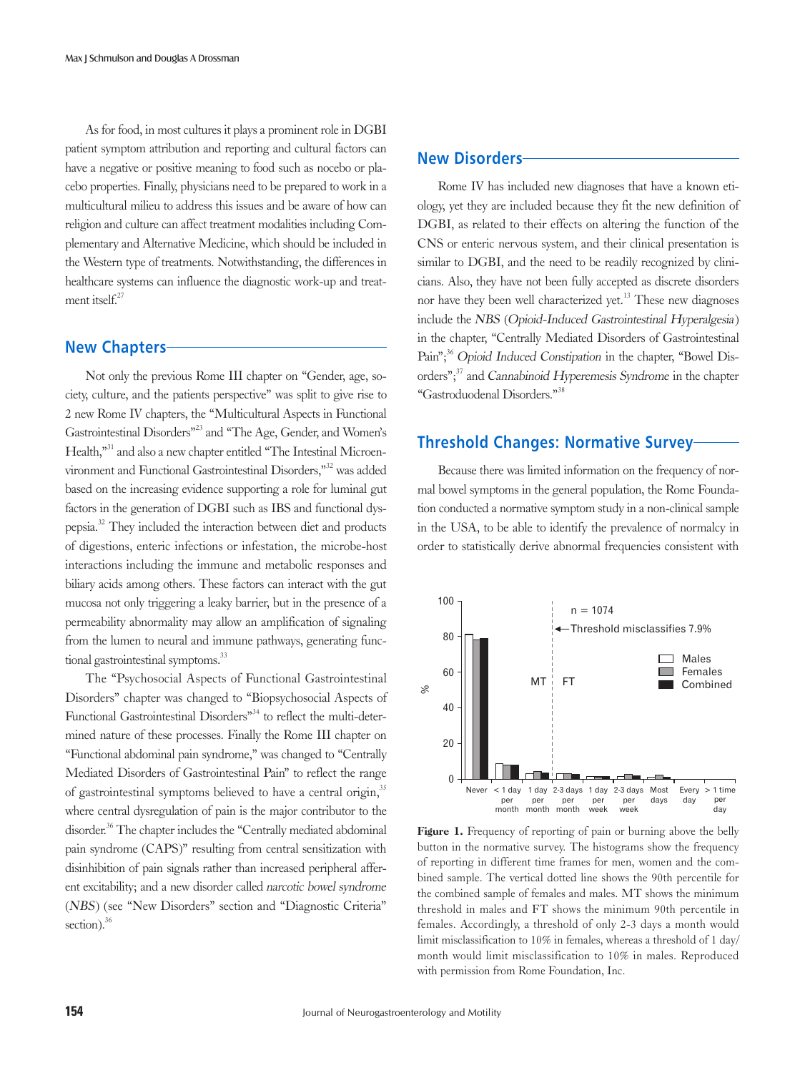As for food, in most cultures it plays a prominent role in DGBI patient symptom attribution and reporting and cultural factors can have a negative or positive meaning to food such as nocebo or placebo properties. Finally, physicians need to be prepared to work in a multicultural milieu to address this issues and be aware of how can religion and culture can affect treatment modalities including Complementary and Alternative Medicine, which should be included in the Western type of treatments. Notwithstanding, the differences in healthcare systems can influence the diagnostic work-up and treatment itsel $f^{27}$ 

#### **New Chapters**

Not only the previous Rome III chapter on "Gender, age, society, culture, and the patients perspective" was split to give rise to 2 new Rome IV chapters, the "Multicultural Aspects in Functional Gastrointestinal Disorders"23 and "The Age, Gender, and Women's Health,"<sup>31</sup> and also a new chapter entitled "The Intestinal Microenvironment and Functional Gastrointestinal Disorders,"32 was added based on the increasing evidence supporting a role for luminal gut factors in the generation of DGBI such as IBS and functional dyspepsia.32 They included the interaction between diet and products of digestions, enteric infections or infestation, the microbe-host interactions including the immune and metabolic responses and biliary acids among others. These factors can interact with the gut mucosa not only triggering a leaky barrier, but in the presence of a permeability abnormality may allow an amplification of signaling from the lumen to neural and immune pathways, generating functional gastrointestinal symptoms.<sup>33</sup>

The "Psychosocial Aspects of Functional Gastrointestinal Disorders" chapter was changed to "Biopsychosocial Aspects of Functional Gastrointestinal Disorders<sup>34</sup> to reflect the multi-determined nature of these processes. Finally the Rome III chapter on "Functional abdominal pain syndrome," was changed to "Centrally Mediated Disorders of Gastrointestinal Pain" to reflect the range of gastrointestinal symptoms believed to have a central origin,<sup>35</sup> where central dysregulation of pain is the major contributor to the disorder.<sup>36</sup> The chapter includes the "Centrally mediated abdominal pain syndrome (CAPS)" resulting from central sensitization with disinhibition of pain signals rather than increased peripheral afferent excitability; and a new disorder called narcotic bowel syndrome (NBS) (see "New Disorders" section and "Diagnostic Criteria" section). $36$ 

#### **New Disorders**

Rome IV has included new diagnoses that have a known etiology, yet they are included because they fit the new definition of DGBI, as related to their effects on altering the function of the CNS or enteric nervous system, and their clinical presentation is similar to DGBI, and the need to be readily recognized by clinicians. Also, they have not been fully accepted as discrete disorders nor have they been well characterized yet.<sup>13</sup> These new diagnoses include the NBS (Opioid-Induced Gastrointestinal Hyperalgesia) in the chapter, "Centrally Mediated Disorders of Gastrointestinal Pain";<sup>36</sup> Opioid Induced Constipation in the chapter, "Bowel Disorders";<sup>37</sup> and Cannabinoid Hyperemesis Syndrome in the chapter "Gastroduodenal Disorders."38

# **Threshold Changes: Normative Survey**

Because there was limited information on the frequency of normal bowel symptoms in the general population, the Rome Foundation conducted a normative symptom study in a non-clinical sample in the USA, to be able to identify the prevalence of normalcy in order to statistically derive abnormal frequencies consistent with



Figure 1. Frequency of reporting of pain or burning above the belly button in the normative survey. The histograms show the frequency of reporting in different time frames for men, women and the combined sample. The vertical dotted line shows the 90th percentile for the combined sample of females and males. MT shows the minimum threshold in males and FT shows the minimum 90th percentile in females. Accordingly, a threshold of only 2-3 days a month would limit misclassification to 10% in females, whereas a threshold of 1 day/ month would limit misclassification to 10% in males. Reproduced with permission from Rome Foundation, Inc.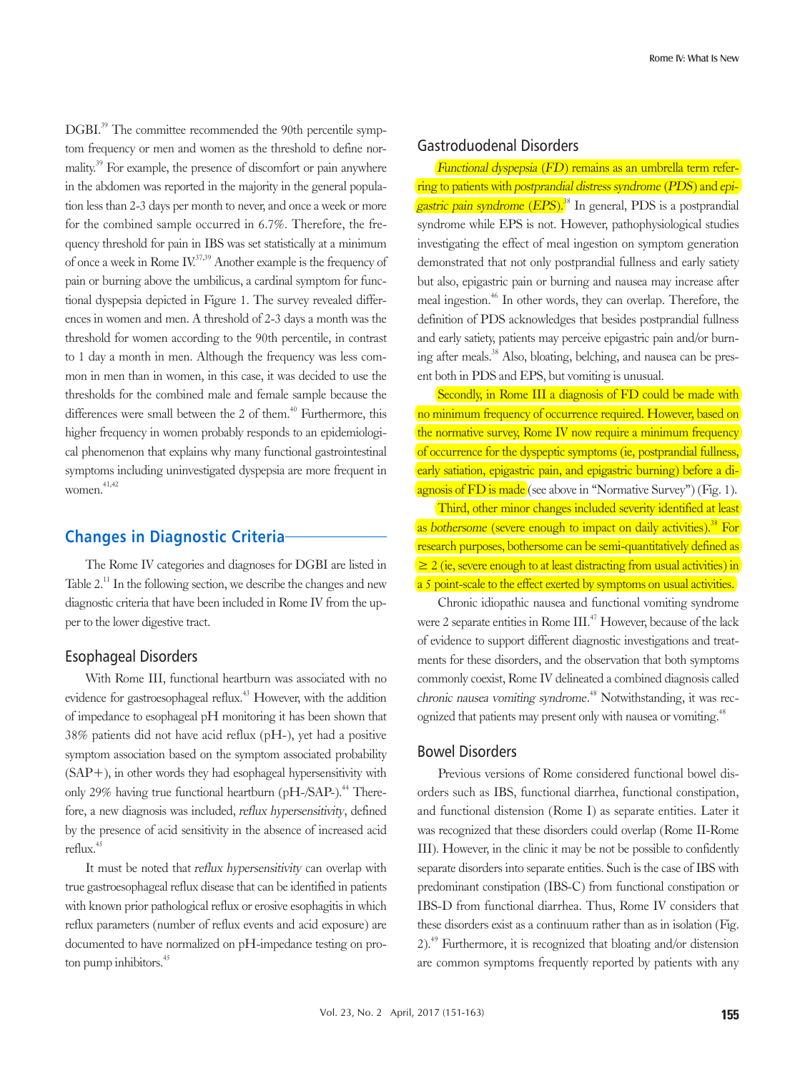DGBI.<sup>39</sup> The committee recommended the 90th percentile symptom frequency or men and women as the threshold to define normality.<sup>39</sup> For example, the presence of discomfort or pain anywhere in the abdomen was reported in the majority in the general population less than 2-3 days per month to never, and once a week or more for the combined sample occurred in 6.7%. Therefore, the frequency threshold for pain in IBS was set statistically at a minimum of once a week in Rome  $IV^{37,39}$  Another example is the frequency of pain or burning above the umbilicus, a cardinal symptom for functional dyspepsia depicted in Figure 1. The survey revealed differences in women and men. A threshold of 2-3 days a month was the threshold for women according to the 90th percentile, in contrast to 1 day a month in men. Although the frequency was less common in men than in women, in this case, it was decided to use the thresholds for the combined male and female sample because the differences were small between the 2 of them.<sup> $40$ </sup> Furthermore, this higher frequency in women probably responds to an epidemiological phenomenon that explains why many functional gastrointestinal symptoms including uninvestigated dyspepsia are more frequent in women. $41,42$ 

# **Changes in Diagnostic Criteria**

The Rome IV categories and diagnoses for DGBI are listed in Table 2.<sup>11</sup> In the following section, we describe the changes and new diagnostic criteria that have been included in Rome IV from the upper to the lower digestive tract.

## Esophageal Disorders

With Rome III, functional heartburn was associated with no evidence for gastroesophageal reflux.43 However, with the addition of impedance to esophageal pH monitoring it has been shown that 38% patients did not have acid reflux (pH-), yet had a positive symptom association based on the symptom associated probability  $(SAP+)$ , in other words they had esophageal hypersensitivity with only 29% having true functional heartburn ( $pH$ -/SAP-).<sup>44</sup> Therefore, a new diagnosis was included, reflux hypersensitivity, defined by the presence of acid sensitivity in the absence of increased acid reflux.45

It must be noted that reflux hypersensitivity can overlap with true gastroesophageal reflux disease that can be identified in patients with known prior pathological reflux or erosive esophagitis in which reflux parameters (number of reflux events and acid exposure) are documented to have normalized on pH-impedance testing on proton pump inhibitors. $45$ 

## Gastroduodenal Disorders

Functional dyspepsia (FD) remains as an umbrella term referring to patients with postprandial distress syndrome (PDS) and epi**gastric pain syndrome (EPS)**.<sup>38</sup> In general, PDS is a postprandial syndrome while EPS is not. However, pathophysiological studies investigating the effect of meal ingestion on symptom generation demonstrated that not only postprandial fullness and early satiety but also, epigastric pain or burning and nausea may increase after meal ingestion.46 In other words, they can overlap. Therefore, the definition of PDS acknowledges that besides postprandial fullness and early satiety, patients may perceive epigastric pain and/or burning after meals.<sup>38</sup> Also, bloating, belching, and nausea can be present both in PDS and EPS, but vomiting is unusual.

Secondly, in Rome III a diagnosis of FD could be made with no minimum frequency of occurrence required. However, based on the normative survey, Rome IV now require a minimum frequency of occurrence for the dyspeptic symptoms (ie, postprandial fullness, early satiation, epigastric pain, and epigastric burning) before a diagnosis of FD is made (see above in "Normative Survey") (Fig. 1).

Third, other minor changes included severity identified at least as bothersome (severe enough to impact on daily activities).<sup>38</sup> For research purposes, bothersome can be semi-quantitatively defined as  $\geq$  2 (ie, severe enough to at least distracting from usual activities) in a 5 point-scale to the effect exerted by symptoms on usual activities.

Chronic idiopathic nausea and functional vomiting syndrome were 2 separate entities in Rome  $III^{47}$ . However, because of the lack of evidence to support different diagnostic investigations and treatments for these disorders, and the observation that both symptoms commonly coexist, Rome IV delineated a combined diagnosis called chronic nausea vomiting syndrome. 48 Notwithstanding, it was recognized that patients may present only with nausea or vomiting.<sup>48</sup>

#### Bowel Disorders

Previous versions of Rome considered functional bowel disorders such as IBS, functional diarrhea, functional constipation, and functional distension (Rome I) as separate entities. Later it was recognized that these disorders could overlap (Rome II-Rome III). However, in the clinic it may be not be possible to confidently separate disorders into separate entities. Such is the case of IBS with predominant constipation (IBS-C) from functional constipation or IBS-D from functional diarrhea. Thus, Rome IV considers that these disorders exist as a continuum rather than as in isolation (Fig. 2).49 Furthermore, it is recognized that bloating and/or distension are common symptoms frequently reported by patients with any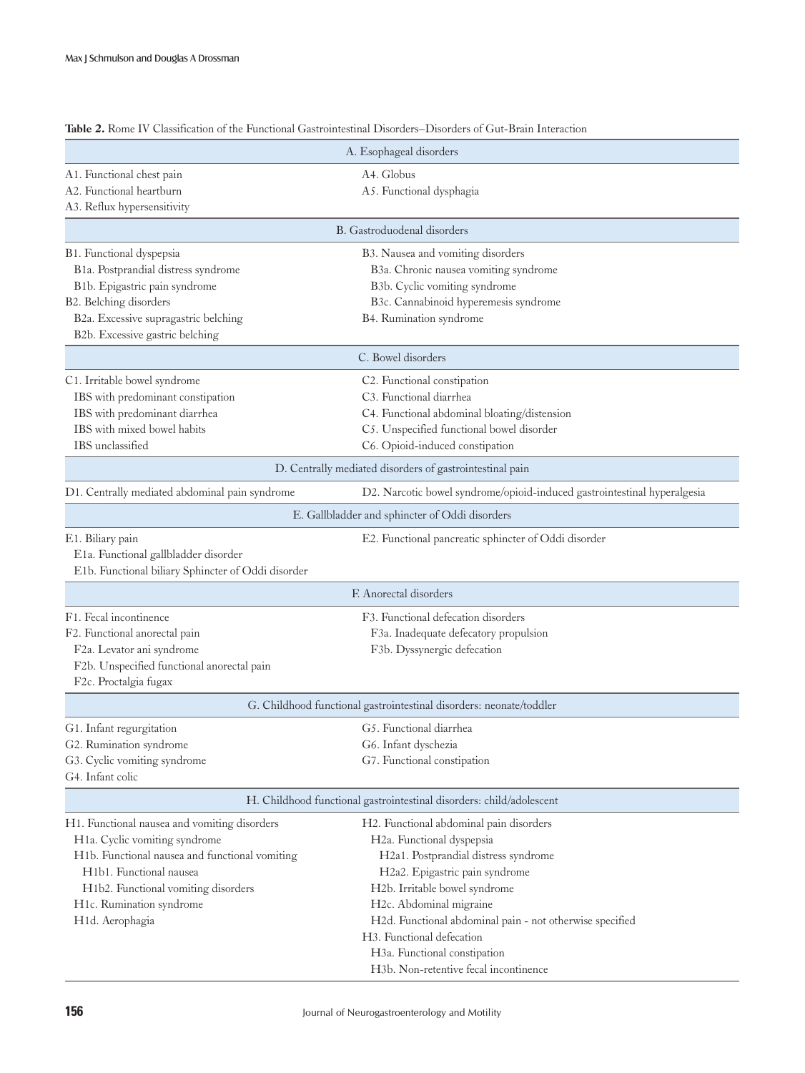|                                                                      | A. Esophageal disorders                                                  |  |  |  |
|----------------------------------------------------------------------|--------------------------------------------------------------------------|--|--|--|
| A1. Functional chest pain                                            | A4. Globus                                                               |  |  |  |
| A2. Functional heartburn                                             | A5. Functional dysphagia                                                 |  |  |  |
| A3. Reflux hypersensitivity                                          |                                                                          |  |  |  |
|                                                                      | B. Gastroduodenal disorders                                              |  |  |  |
| B1. Functional dyspepsia                                             | B3. Nausea and vomiting disorders                                        |  |  |  |
| B1a. Postprandial distress syndrome                                  | B3a. Chronic nausea vomiting syndrome                                    |  |  |  |
| B1b. Epigastric pain syndrome                                        | B3b. Cyclic vomiting syndrome                                            |  |  |  |
| B2. Belching disorders                                               | B3c. Cannabinoid hyperemesis syndrome                                    |  |  |  |
| B2a. Excessive supragastric belching                                 | B4. Rumination syndrome                                                  |  |  |  |
| B2b. Excessive gastric belching                                      |                                                                          |  |  |  |
|                                                                      | C. Bowel disorders                                                       |  |  |  |
| C1. Irritable bowel syndrome                                         | C2. Functional constipation                                              |  |  |  |
| IBS with predominant constipation                                    | C3. Functional diarrhea                                                  |  |  |  |
| IBS with predominant diarrhea                                        | C4. Functional abdominal bloating/distension                             |  |  |  |
| IBS with mixed bowel habits                                          | C5. Unspecified functional bowel disorder                                |  |  |  |
| IBS unclassified                                                     | C6. Opioid-induced constipation                                          |  |  |  |
|                                                                      | D. Centrally mediated disorders of gastrointestinal pain                 |  |  |  |
| D1. Centrally mediated abdominal pain syndrome                       | D2. Narcotic bowel syndrome/opioid-induced gastrointestinal hyperalgesia |  |  |  |
|                                                                      | E. Gallbladder and sphincter of Oddi disorders                           |  |  |  |
| E1. Biliary pain                                                     | E2. Functional pancreatic sphincter of Oddi disorder                     |  |  |  |
| E1a. Functional gallbladder disorder                                 |                                                                          |  |  |  |
| E1b. Functional biliary Sphincter of Oddi disorder                   |                                                                          |  |  |  |
|                                                                      | F. Anorectal disorders                                                   |  |  |  |
| F1. Fecal incontinence                                               | F3. Functional defecation disorders                                      |  |  |  |
| F2. Functional anorectal pain                                        | F3a. Inadequate defecatory propulsion                                    |  |  |  |
| F2a. Levator ani syndrome                                            | F3b. Dyssynergic defecation                                              |  |  |  |
| F2b. Unspecified functional anorectal pain                           |                                                                          |  |  |  |
| F2c. Proctalgia fugax                                                |                                                                          |  |  |  |
|                                                                      | G. Childhood functional gastrointestinal disorders: neonate/toddler      |  |  |  |
| G1. Infant regurgitation                                             | G5. Functional diarrhea                                                  |  |  |  |
| G2. Rumination syndrome                                              | G6. Infant dyschezia                                                     |  |  |  |
| G3. Cyclic vomiting syndrome                                         | G7. Functional constipation                                              |  |  |  |
| G4. Infant colic                                                     |                                                                          |  |  |  |
| H. Childhood functional gastrointestinal disorders: child/adolescent |                                                                          |  |  |  |
| H1. Functional nausea and vomiting disorders                         | H2. Functional abdominal pain disorders                                  |  |  |  |
| H1a. Cyclic vomiting syndrome                                        | H2a. Functional dyspepsia                                                |  |  |  |
| H1b. Functional nausea and functional vomiting                       | H2a1. Postprandial distress syndrome                                     |  |  |  |
| H <sub>1</sub> b <sub>1</sub> . Functional nausea                    | H2a2. Epigastric pain syndrome                                           |  |  |  |
| H1b2. Functional vomiting disorders                                  | H2b. Irritable bowel syndrome                                            |  |  |  |
| H1c. Rumination syndrome                                             | H2c. Abdominal migraine                                                  |  |  |  |
| H1d. Aerophagia                                                      | H2d. Functional abdominal pain - not otherwise specified                 |  |  |  |
|                                                                      | H3. Functional defecation                                                |  |  |  |
|                                                                      | H3a. Functional constipation                                             |  |  |  |
|                                                                      | H3b. Non-retentive fecal incontinence                                    |  |  |  |

Table 2. Rome IV Classification of the Functional Gastrointestinal Disorders–Disorders of Gut-Brain Interaction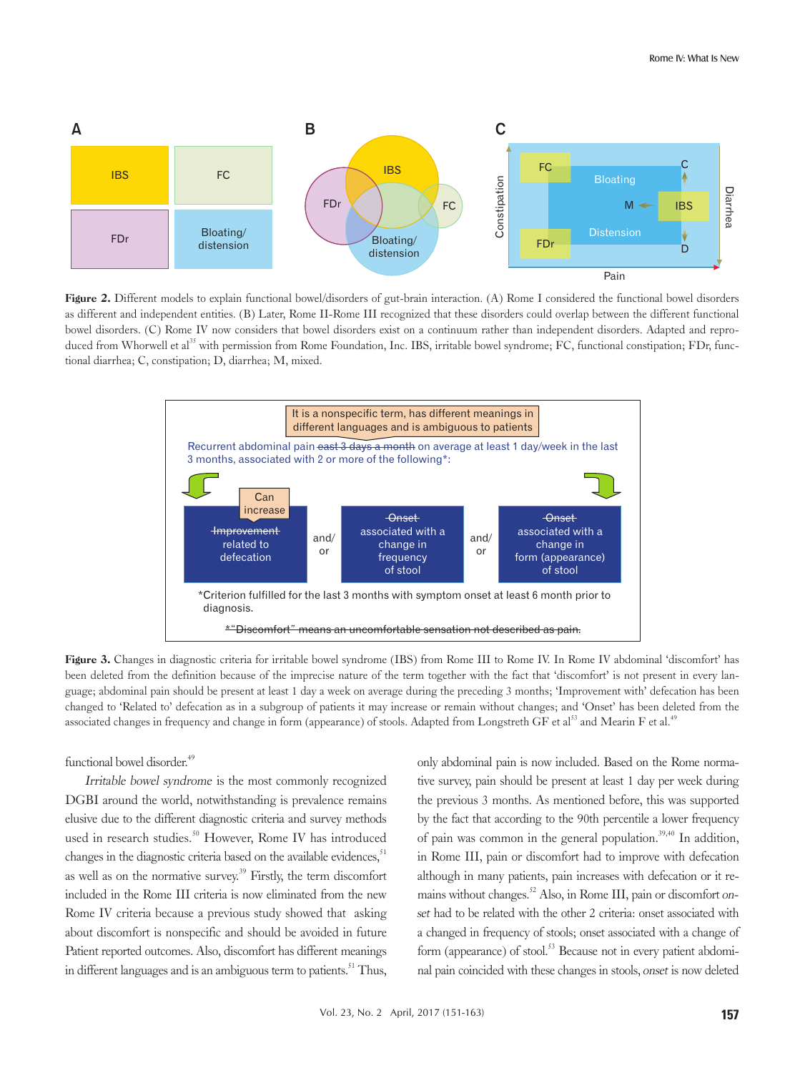

Figure 2. Different models to explain functional bowel/disorders of gut-brain interaction. (A) Rome I considered the functional bowel disorders as different and independent entities. (B) Later, Rome II-Rome III recognized that these disorders could overlap between the different functional bowel disorders. (C) Rome IV now considers that bowel disorders exist on a continuum rather than independent disorders. Adapted and reproduced from Whorwell et al<sup>35</sup> with permission from Rome Foundation, Inc. IBS, irritable bowel syndrome; FC, functional constipation; FDr, functional diarrhea; C, constipation; D, diarrhea; M, mixed.



Figure 3. Changes in diagnostic criteria for irritable bowel syndrome (IBS) from Rome III to Rome IV. In Rome IV abdominal 'discomfort' has been deleted from the definition because of the imprecise nature of the term together with the fact that 'discomfort' is not present in every language; abdominal pain should be present at least 1 day a week on average during the preceding 3 months; 'Improvement with' defecation has been changed to 'Related to' defecation as in a subgroup of patients it may increase or remain without changes; and 'Onset' has been deleted from the associated changes in frequency and change in form (appearance) of stools. Adapted from Longstreth GF et al.<sup>49</sup> and Mearin F et al.<sup>49</sup>

#### functional bowel disorder.<sup>49</sup>

Irritable bowel syndrome is the most commonly recognized DGBI around the world, notwithstanding is prevalence remains elusive due to the different diagnostic criteria and survey methods used in research studies.<sup>50</sup> However, Rome IV has introduced changes in the diagnostic criteria based on the available evidences, $51$ as well as on the normative survey.<sup>39</sup> Firstly, the term discomfort included in the Rome III criteria is now eliminated from the new Rome IV criteria because a previous study showed that asking about discomfort is nonspecific and should be avoided in future Patient reported outcomes. Also, discomfort has different meanings in different languages and is an ambiguous term to patients.<sup>51</sup> Thus,

only abdominal pain is now included. Based on the Rome normative survey, pain should be present at least 1 day per week during the previous 3 months. As mentioned before, this was supported by the fact that according to the 90th percentile a lower frequency of pain was common in the general population.<sup>39,40</sup> In addition, in Rome III, pain or discomfort had to improve with defecation although in many patients, pain increases with defecation or it remains without changes.<sup>52</sup> Also, in Rome III, pain or discomfort onset had to be related with the other 2 criteria: onset associated with a changed in frequency of stools; onset associated with a change of form (appearance) of stool.<sup>53</sup> Because not in every patient abdominal pain coincided with these changes in stools, onset is now deleted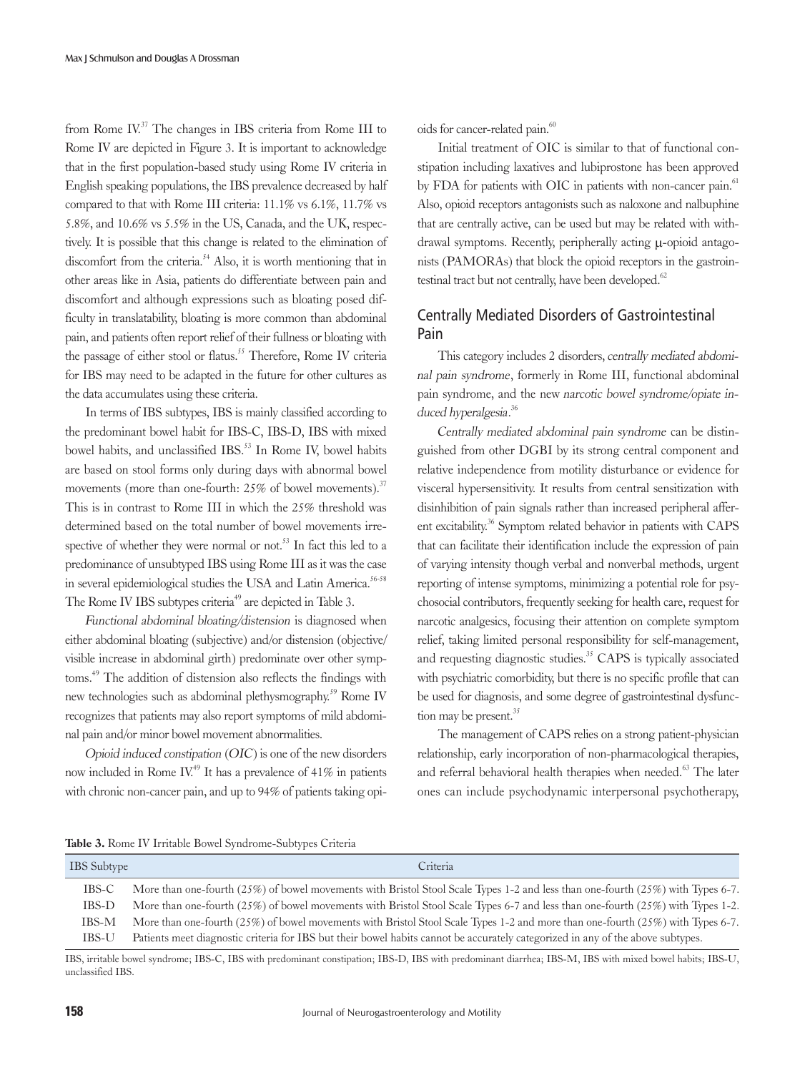from Rome  $IV^{37}$  The changes in IBS criteria from Rome III to Rome IV are depicted in Figure 3. It is important to acknowledge that in the first population-based study using Rome IV criteria in English speaking populations, the IBS prevalence decreased by half compared to that with Rome III criteria: 11.1% vs 6.1%, 11.7% vs 5.8%, and 10.6% vs 5.5% in the US, Canada, and the UK, respectively. It is possible that this change is related to the elimination of discomfort from the criteria.<sup> $54$ </sup> Also, it is worth mentioning that in other areas like in Asia, patients do differentiate between pain and discomfort and although expressions such as bloating posed difficulty in translatability, bloating is more common than abdominal pain, and patients often report relief of their fullness or bloating with the passage of either stool or flatus.<sup>55</sup> Therefore, Rome IV criteria for IBS may need to be adapted in the future for other cultures as the data accumulates using these criteria.

In terms of IBS subtypes, IBS is mainly classified according to the predominant bowel habit for IBS-C, IBS-D, IBS with mixed bowel habits, and unclassified IBS.<sup>53</sup> In Rome IV, bowel habits are based on stool forms only during days with abnormal bowel movements (more than one-fourth: 25% of bowel movements).<sup>37</sup> This is in contrast to Rome III in which the 25% threshold was determined based on the total number of bowel movements irrespective of whether they were normal or not.<sup>53</sup> In fact this led to a predominance of unsubtyped IBS using Rome III as it was the case in several epidemiological studies the USA and Latin America.<sup>56-58</sup> The Rome IV IBS subtypes criteria<sup>49</sup> are depicted in Table 3.

Functional abdominal bloating/distension is diagnosed when either abdominal bloating (subjective) and/or distension (objective/ visible increase in abdominal girth) predominate over other symptoms.49 The addition of distension also reflects the findings with new technologies such as abdominal plethysmography.<sup>59</sup> Rome IV recognizes that patients may also report symptoms of mild abdominal pain and/or minor bowel movement abnormalities.

Opioid induced constipation (OIC) is one of the new disorders now included in Rome IV.<sup>49</sup> It has a prevalence of  $41\%$  in patients with chronic non-cancer pain, and up to 94% of patients taking opioids for cancer-related pain.<sup>60</sup>

Initial treatment of OIC is similar to that of functional constipation including laxatives and lubiprostone has been approved by FDA for patients with OIC in patients with non-cancer pain.<sup>61</sup> Also, opioid receptors antagonists such as naloxone and nalbuphine that are centrally active, can be used but may be related with withdrawal symptoms. Recently, peripherally acting µ-opioid antagonists (PAMORAs) that block the opioid receptors in the gastrointestinal tract but not centrally, have been developed.<sup>62</sup>

# Centrally Mediated Disorders of Gastrointestinal Pain

This category includes 2 disorders, centrally mediated abdominal pain syndrome, formerly in Rome III, functional abdominal pain syndrome, and the new narcotic bowel syndrome/opiate induced hyperalgesia.<sup>36</sup>

Centrally mediated abdominal pain syndrome can be distinguished from other DGBI by its strong central component and relative independence from motility disturbance or evidence for visceral hypersensitivity. It results from central sensitization with disinhibition of pain signals rather than increased peripheral afferent excitability.36 Symptom related behavior in patients with CAPS that can facilitate their identification include the expression of pain of varying intensity though verbal and nonverbal methods, urgent reporting of intense symptoms, minimizing a potential role for psychosocial contributors, frequently seeking for health care, request for narcotic analgesics, focusing their attention on complete symptom relief, taking limited personal responsibility for self-management, and requesting diagnostic studies.<sup>35</sup> CAPS is typically associated with psychiatric comorbidity, but there is no specific profile that can be used for diagnosis, and some degree of gastrointestinal dysfunction may be present.<sup>35</sup>

The management of CAPS relies on a strong patient-physician relationship, early incorporation of non-pharmacological therapies, and referral behavioral health therapies when needed.<sup>63</sup> The later ones can include psychodynamic interpersonal psychotherapy,

Table 3. Rome IV Irritable Bowel Syndrome-Subtypes Criteria

| <b>IBS</b> Subtype | Criteria                                                                                                                              |
|--------------------|---------------------------------------------------------------------------------------------------------------------------------------|
| IBS-C              | More than one-fourth $(25\%)$ of bowel movements with Bristol Stool Scale Types 1-2 and less than one-fourth $(25\%)$ with Types 6-7. |
| IBS-D              | More than one-fourth $(25\%)$ of bowel movements with Bristol Stool Scale Types 6-7 and less than one-fourth $(25\%)$ with Types 1-2. |
| IBS-M              | More than one-fourth (25%) of bowel movements with Bristol Stool Scale Types 1-2 and more than one-fourth (25%) with Types 6-7.       |
| IBS-U              | Patients meet diagnostic criteria for IBS but their bowel habits cannot be accurately categorized in any of the above subtypes.       |

IBS, irritable bowel syndrome; IBS-C, IBS with predominant constipation; IBS-D, IBS with predominant diarrhea; IBS-M, IBS with mixed bowel habits; IBS-U, unclassified IBS.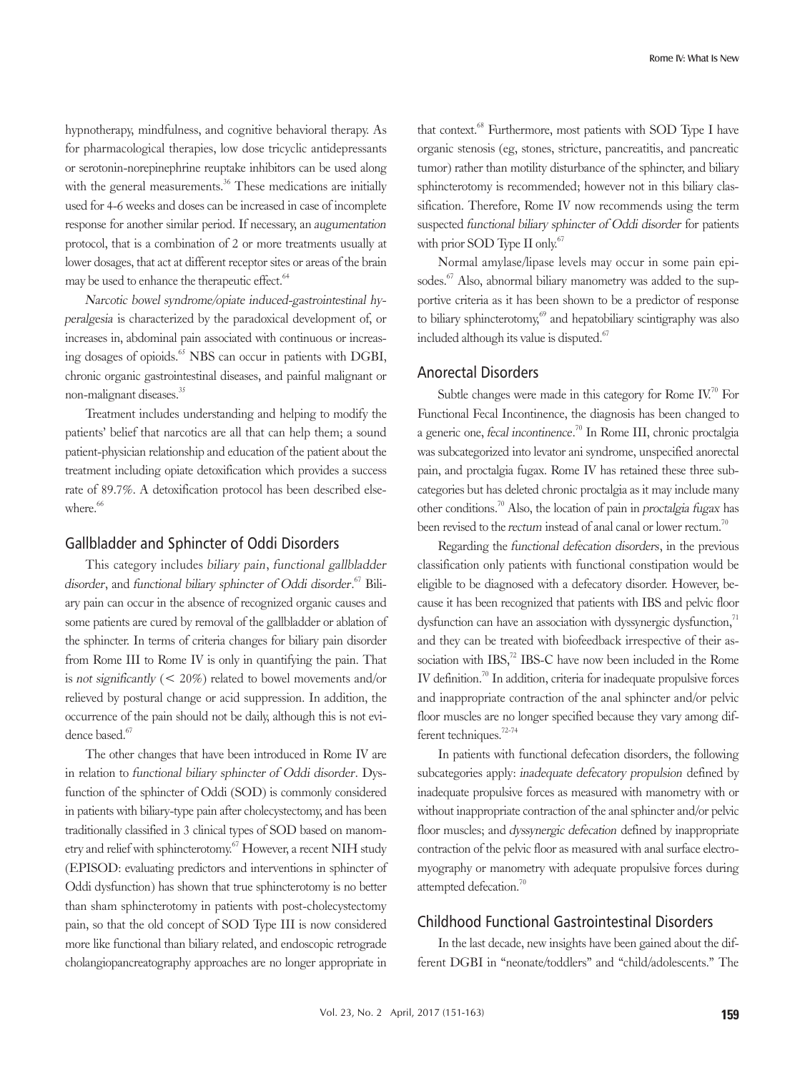hypnotherapy, mindfulness, and cognitive behavioral therapy. As for pharmacological therapies, low dose tricyclic antidepressants or serotonin-norepinephrine reuptake inhibitors can be used along with the general measurements.<sup>36</sup> These medications are initially used for 4-6 weeks and doses can be increased in case of incomplete response for another similar period. If necessary, an augumentation protocol, that is a combination of 2 or more treatments usually at lower dosages, that act at different receptor sites or areas of the brain may be used to enhance the therapeutic effect.<sup>64</sup>

Narcotic bowel syndrome/opiate induced-gastrointestinal hyperalgesia is characterized by the paradoxical development of, or increases in, abdominal pain associated with continuous or increasing dosages of opioids.<sup>65</sup> NBS can occur in patients with DGBI, chronic organic gastrointestinal diseases, and painful malignant or non-malignant diseases.<sup>35</sup>

Treatment includes understanding and helping to modify the patients' belief that narcotics are all that can help them; a sound patient-physician relationship and education of the patient about the treatment including opiate detoxification which provides a success rate of 89.7%. A detoxification protocol has been described elsewhere.<sup>66</sup>

#### Gallbladder and Sphincter of Oddi Disorders

This category includes biliary pain, functional gallbladder disorder, and functional biliary sphincter of Oddi disorder.<sup>67</sup> Biliary pain can occur in the absence of recognized organic causes and some patients are cured by removal of the gallbladder or ablation of the sphincter. In terms of criteria changes for biliary pain disorder from Rome III to Rome IV is only in quantifying the pain. That is not significantly  $(< 20\%)$  related to bowel movements and/or relieved by postural change or acid suppression. In addition, the occurrence of the pain should not be daily, although this is not evidence based.<sup>67</sup>

The other changes that have been introduced in Rome IV are in relation to functional biliary sphincter of Oddi disorder. Dysfunction of the sphincter of Oddi (SOD) is commonly considered in patients with biliary-type pain after cholecystectomy, and has been traditionally classified in 3 clinical types of SOD based on manometry and relief with sphincterotomy.67 However, a recent NIH study (EPISOD: evaluating predictors and interventions in sphincter of Oddi dysfunction) has shown that true sphincterotomy is no better than sham sphincterotomy in patients with post-cholecystectomy pain, so that the old concept of SOD Type III is now considered more like functional than biliary related, and endoscopic retrograde cholangiopancreatography approaches are no longer appropriate in

that context.<sup>68</sup> Furthermore, most patients with SOD Type I have organic stenosis (eg, stones, stricture, pancreatitis, and pancreatic tumor) rather than motility disturbance of the sphincter, and biliary sphincterotomy is recommended; however not in this biliary classification. Therefore, Rome IV now recommends using the term suspected functional biliary sphincter of Oddi disorder for patients with prior SOD Type II only.<sup>67</sup>

Normal amylase/lipase levels may occur in some pain episodes.<sup>67</sup> Also, abnormal biliary manometry was added to the supportive criteria as it has been shown to be a predictor of response to biliary sphincterotomy, $\mathcal{F}^9$  and hepatobiliary scintigraphy was also included although its value is disputed.<sup>67</sup>

#### Anorectal Disorders

Subtle changes were made in this category for Rome  $IV<sup>70</sup>$  For Functional Fecal Incontinence, the diagnosis has been changed to a generic one, fecal incontinence.<sup>70</sup> In Rome III, chronic proctalgia was subcategorized into levator ani syndrome, unspecified anorectal pain, and proctalgia fugax. Rome IV has retained these three subcategories but has deleted chronic proctalgia as it may include many other conditions.<sup>70</sup> Also, the location of pain in proctalgia fugax has been revised to the rectum instead of anal canal or lower rectum.<sup>70</sup>

Regarding the functional defecation disorders, in the previous classification only patients with functional constipation would be eligible to be diagnosed with a defecatory disorder. However, because it has been recognized that patients with IBS and pelvic floor dysfunction can have an association with dyssynergic dysfunction,<sup>71</sup> and they can be treated with biofeedback irrespective of their association with  $IBS<sub>1</sub><sup>72</sup> IBS-C$  have now been included in the Rome IV definition.<sup>70</sup> In addition, criteria for inadequate propulsive forces and inappropriate contraction of the anal sphincter and/or pelvic floor muscles are no longer specified because they vary among different techniques.<sup>72-74</sup>

In patients with functional defecation disorders, the following subcategories apply: inadequate defecatory propulsion defined by inadequate propulsive forces as measured with manometry with or without inappropriate contraction of the anal sphincter and/or pelvic floor muscles; and dyssynergic defecation defined by inappropriate contraction of the pelvic floor as measured with anal surface electromyography or manometry with adequate propulsive forces during attempted defecation.<sup>70</sup>

# Childhood Functional Gastrointestinal Disorders

In the last decade, new insights have been gained about the different DGBI in "neonate/toddlers" and "child/adolescents." The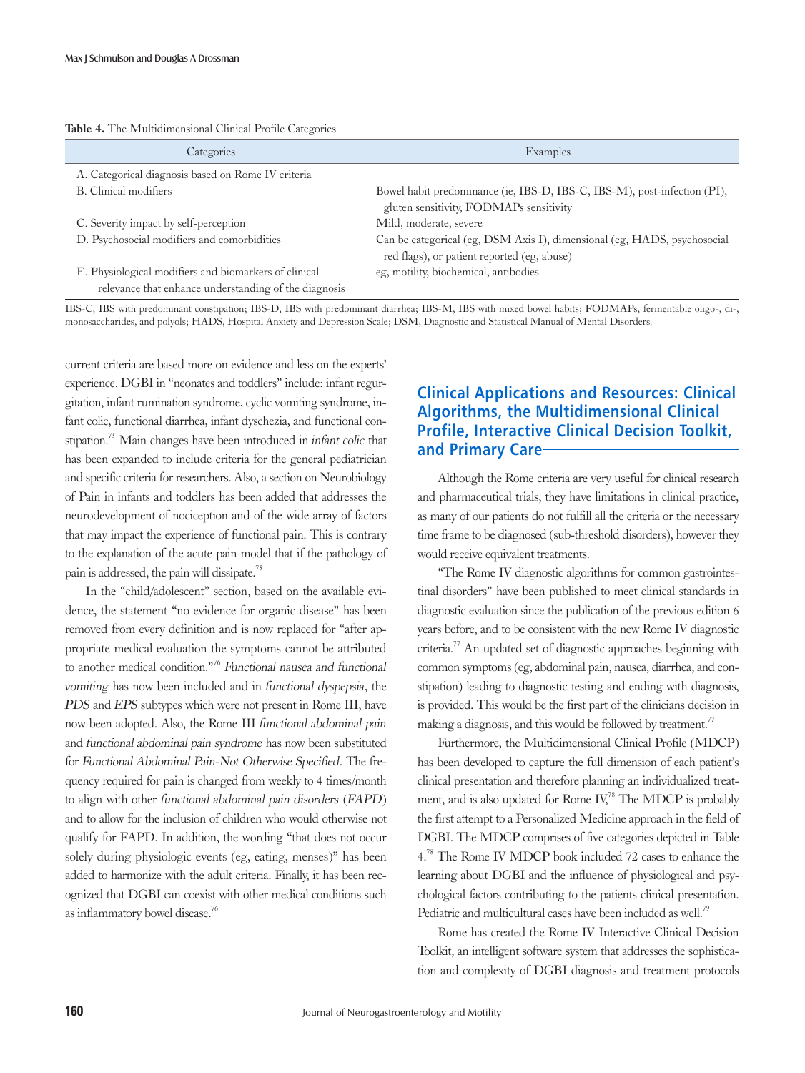| Categories                                                                                                     | Examples                                                                                                                |
|----------------------------------------------------------------------------------------------------------------|-------------------------------------------------------------------------------------------------------------------------|
| A. Categorical diagnosis based on Rome IV criteria                                                             |                                                                                                                         |
| B. Clinical modifiers                                                                                          | Bowel habit predominance (ie, IBS-D, IBS-C, IBS-M), post-infection (PI),<br>gluten sensitivity, FODMAPs sensitivity     |
| C. Severity impact by self-perception                                                                          | Mild, moderate, severe                                                                                                  |
| D. Psychosocial modifiers and comorbidities                                                                    | Can be categorical (eg, DSM Axis I), dimensional (eg, HADS, psychosocial<br>red flags), or patient reported (eg, abuse) |
| E. Physiological modifiers and biomarkers of clinical<br>relevance that enhance understanding of the diagnosis | eg, motility, biochemical, antibodies                                                                                   |

#### Table 4. The Multidimensional Clinical Profile Categories

IBS-C, IBS with predominant constipation; IBS-D, IBS with predominant diarrhea; IBS-M, IBS with mixed bowel habits; FODMAPs, fermentable oligo-, di-, monosaccharides, and polyols; HADS, Hospital Anxiety and Depression Scale; DSM, Diagnostic and Statistical Manual of Mental Disorders.

current criteria are based more on evidence and less on the experts' experience. DGBI in "neonates and toddlers" include: infant regurgitation, infant rumination syndrome, cyclic vomiting syndrome, infant colic, functional diarrhea, infant dyschezia, and functional constipation.<sup>75</sup> Main changes have been introduced in *infant colic* that has been expanded to include criteria for the general pediatrician and specific criteria for researchers. Also, a section on Neurobiology of Pain in infants and toddlers has been added that addresses the neurodevelopment of nociception and of the wide array of factors that may impact the experience of functional pain. This is contrary to the explanation of the acute pain model that if the pathology of pain is addressed, the pain will dissipate.<sup>75</sup>

In the "child/adolescent" section, based on the available evidence, the statement "no evidence for organic disease" has been removed from every definition and is now replaced for "after appropriate medical evaluation the symptoms cannot be attributed to another medical condition."<sup>76</sup> Functional nausea and functional vomiting has now been included and in functional dyspepsia, the PDS and EPS subtypes which were not present in Rome III, have now been adopted. Also, the Rome III functional abdominal pain and functional abdominal pain syndrome has now been substituted for Functional Abdominal Pain-Not Otherwise Specified. The frequency required for pain is changed from weekly to 4 times/month to align with other functional abdominal pain disorders (FAPD) and to allow for the inclusion of children who would otherwise not qualify for FAPD. In addition, the wording "that does not occur solely during physiologic events (eg, eating, menses)" has been added to harmonize with the adult criteria. Finally, it has been recognized that DGBI can coexist with other medical conditions such as inflammatory bowel disease.<sup>76</sup>

# **Clinical Applications and Resources: Clinical Algorithms, the Multidimensional Clinical Profile, Interactive Clinical Decision Toolkit, and Primary Care**

Although the Rome criteria are very useful for clinical research and pharmaceutical trials, they have limitations in clinical practice, as many of our patients do not fulfill all the criteria or the necessary time frame to be diagnosed (sub-threshold disorders), however they would receive equivalent treatments.

"The Rome IV diagnostic algorithms for common gastrointestinal disorders" have been published to meet clinical standards in diagnostic evaluation since the publication of the previous edition 6 years before, and to be consistent with the new Rome IV diagnostic criteria.77 An updated set of diagnostic approaches beginning with common symptoms (eg, abdominal pain, nausea, diarrhea, and constipation) leading to diagnostic testing and ending with diagnosis, is provided. This would be the first part of the clinicians decision in making a diagnosis, and this would be followed by treatment.<sup>77</sup>

Furthermore, the Multidimensional Clinical Profile (MDCP) has been developed to capture the full dimension of each patient's clinical presentation and therefore planning an individualized treatment, and is also updated for Rome IV,<sup>78</sup> The MDCP is probably the first attempt to a Personalized Medicine approach in the field of DGBI. The MDCP comprises of five categories depicted in Table 4. 78 The Rome IV MDCP book included 72 cases to enhance the learning about DGBI and the influence of physiological and psychological factors contributing to the patients clinical presentation. Pediatric and multicultural cases have been included as well.<sup>79</sup>

Rome has created the Rome IV Interactive Clinical Decision Toolkit, an intelligent software system that addresses the sophistication and complexity of DGBI diagnosis and treatment protocols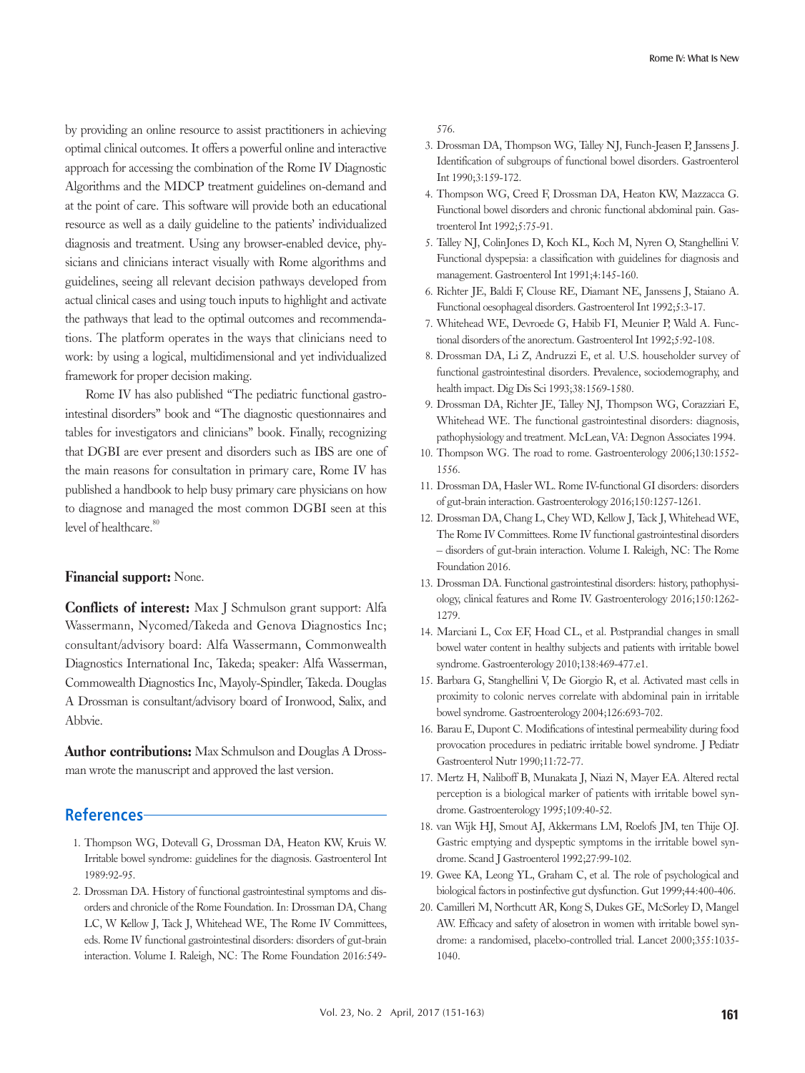by providing an online resource to assist practitioners in achieving optimal clinical outcomes. It offers a powerful online and interactive approach for accessing the combination of the Rome IV Diagnostic Algorithms and the MDCP treatment guidelines on-demand and at the point of care. This software will provide both an educational resource as well as a daily guideline to the patients' individualized diagnosis and treatment. Using any browser-enabled device, physicians and clinicians interact visually with Rome algorithms and guidelines, seeing all relevant decision pathways developed from actual clinical cases and using touch inputs to highlight and activate the pathways that lead to the optimal outcomes and recommendations. The platform operates in the ways that clinicians need to work: by using a logical, multidimensional and yet individualized framework for proper decision making.

Rome IV has also published "The pediatric functional gastrointestinal disorders" book and "The diagnostic questionnaires and tables for investigators and clinicians" book. Finally, recognizing that DGBI are ever present and disorders such as IBS are one of the main reasons for consultation in primary care, Rome IV has published a handbook to help busy primary care physicians on how to diagnose and managed the most common DGBI seen at this level of healthcare.<sup>80</sup>

#### Financial support: None.

Conflicts of interest: Max J Schmulson grant support: Alfa Wassermann, Nycomed/Takeda and Genova Diagnostics Inc; consultant/advisory board: Alfa Wassermann, Commonwealth Diagnostics International Inc, Takeda; speaker: Alfa Wasserman, Commowealth Diagnostics Inc, Mayoly-Spindler, Takeda. Douglas A Drossman is consultant/advisory board of Ironwood, Salix, and Abbvie.

Author contributions: Max Schmulson and Douglas A Drossman wrote the manuscript and approved the last version.

## **References**

- 1. Thompson WG, Dotevall G, Drossman DA, Heaton KW, Kruis W. Irritable bowel syndrome: guidelines for the diagnosis. Gastroenterol Int 1989:92-95.
- 2. Drossman DA. History of functional gastrointestinal symptoms and disorders and chronicle of the Rome Foundation. In: Drossman DA, Chang LC, W Kellow J, Tack J, Whitehead WE, The Rome IV Committees, eds. Rome IV functional gastrointestinal disorders: disorders of gut-brain interaction. Volume I. Raleigh, NC: The Rome Foundation 2016:549-

576.

- 3. Drossman DA, Thompson WG, Talley NJ, Funch-Jeasen P, Janssens J. Identification of subgroups of functional bowel disorders. Gastroenterol Int 1990;3:159-172.
- 4. Thompson WG, Creed F, Drossman DA, Heaton KW, Mazzacca G. Functional bowel disorders and chronic functional abdominal pain. Gastroenterol Int 1992;5:75-91.
- 5. Talley NJ, ColinJones D, Koch KL, Koch M, Nyren O, Stanghellini V. Functional dyspepsia: a classification with guidelines for diagnosis and management. Gastroenterol Int 1991;4:145-160.
- 6. Richter JE, Baldi F, Clouse RE, Diamant NE, Janssens J, Staiano A. Functional oesophageal disorders. Gastroenterol Int 1992;5:3-17.
- 7. Whitehead WE, Devroede G, Habib FI, Meunier P, Wald A. Functional disorders of the anorectum. Gastroenterol Int 1992;5:92-108.
- 8. Drossman DA, Li Z, Andruzzi E, et al. U.S. householder survey of functional gastrointestinal disorders. Prevalence, sociodemography, and health impact. Dig Dis Sci 1993;38:1569-1580.
- 9. Drossman DA, Richter JE, Talley NJ, Thompson WG, Corazziari E, Whitehead WE. The functional gastrointestinal disorders: diagnosis, pathophysiology and treatment. McLean, VA: Degnon Associates 1994.
- 10. Thompson WG. The road to rome. Gastroenterology 2006;130:1552- 1556.
- 11. Drossman DA, Hasler WL. Rome IV-functional GI disorders: disorders of gut-brain interaction. Gastroenterology 2016;150:1257-1261.
- 12. Drossman DA, Chang L, Chey WD, Kellow J, Tack J, Whitehead WE, The Rome IV Committees. Rome IV functional gastrointestinal disorders – disorders of gut-brain interaction. Volume I. Raleigh, NC: The Rome Foundation 2016.
- 13. Drossman DA. Functional gastrointestinal disorders: history, pathophysiology, clinical features and Rome IV. Gastroenterology 2016;150:1262- 1279.
- 14. Marciani L, Cox EF, Hoad CL, et al. Postprandial changes in small bowel water content in healthy subjects and patients with irritable bowel syndrome. Gastroenterology 2010;138:469-477.e1.
- 15. Barbara G, Stanghellini V, De Giorgio R, et al. Activated mast cells in proximity to colonic nerves correlate with abdominal pain in irritable bowel syndrome. Gastroenterology 2004;126:693-702.
- 16. Barau E, Dupont C. Modifications of intestinal permeability during food provocation procedures in pediatric irritable bowel syndrome. J Pediatr Gastroenterol Nutr 1990;11:72-77.
- 17. Mertz H, Naliboff B, Munakata J, Niazi N, Mayer EA. Altered rectal perception is a biological marker of patients with irritable bowel syndrome. Gastroenterology 1995;109:40-52.
- 18. van Wijk HJ, Smout AJ, Akkermans LM, Roelofs JM, ten Thije OJ. Gastric emptying and dyspeptic symptoms in the irritable bowel syndrome. Scand J Gastroenterol 1992;27:99-102.
- 19. Gwee KA, Leong YL, Graham C, et al. The role of psychological and biological factors in postinfective gut dysfunction. Gut 1999;44:400-406.
- 20. Camilleri M, Northcutt AR, Kong S, Dukes GE, McSorley D, Mangel AW. Efficacy and safety of alosetron in women with irritable bowel syndrome: a randomised, placebo-controlled trial. Lancet 2000;355:1035- 1040.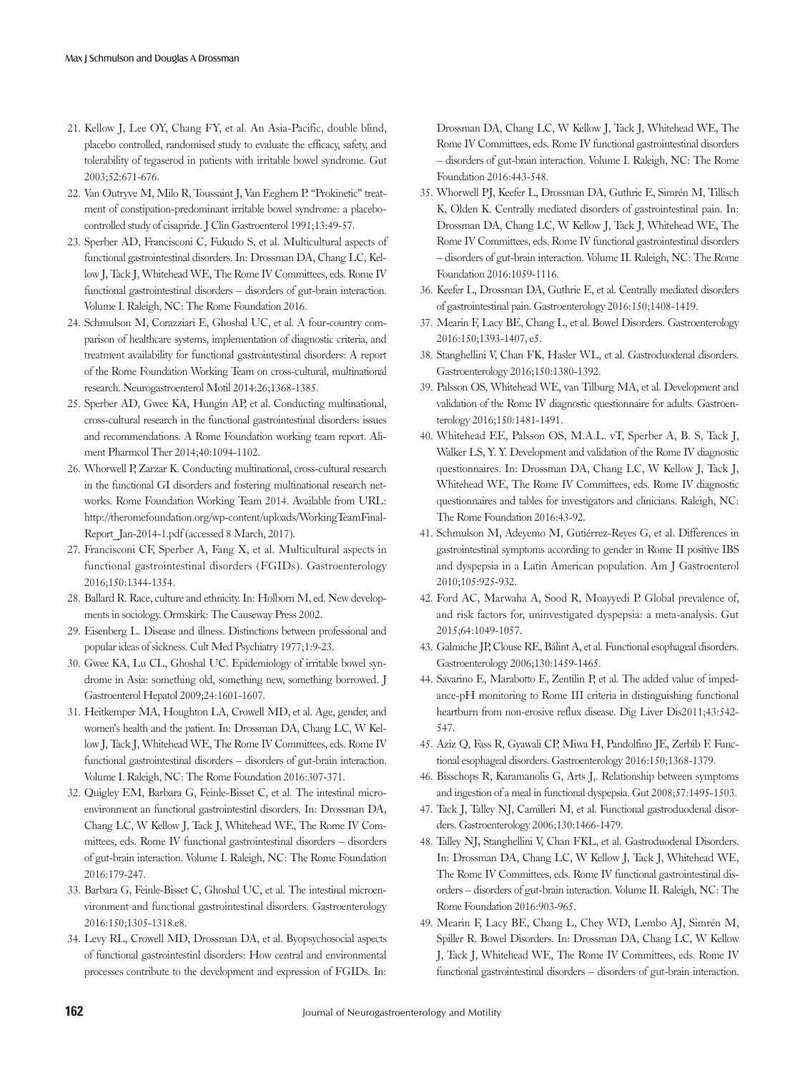- 21. Kellow J, Lee OY, Chang FY, et al. An Asia-Pacific, double blind, placebo controlled, randomised study to evaluate the efficacy, safety, and tolerability of tegaserod in patients with irritable bowel syndrome. Gut 2003;52:671-676.
- 22. Van Outryve M, Milo R, Toussaint J, Van Eeghem P. "Prokinetic" treatment of constipation-predominant irritable bowel syndrome: a placebocontrolled study of cisapride. J Clin Gastroenterol 1991;13:49-57.
- 23. Sperber AD, Francisconi C, Fukudo S, et al. Multicultural aspects of functional gastrointestinal disorders. In: Drossman DA, Chang LC, Kellow J, Tack J, Whitehead WE, The Rome IV Committees, eds. Rome IV functional gastrointestinal disorders – disorders of gut-brain interaction. Volume I. Raleigh, NC: The Rome Foundation 2016.
- 24. Schmulson M, Corazziari E, Ghoshal UC, et al. A four-country comparison of healthcare systems, implementation of diagnostic criteria, and treatment availability for functional gastrointestinal disorders: A report of the Rome Foundation Working Team on cross-cultural, multinational research. Neurogastroenterol Motil 2014:26;1368-1385.
- 25. Sperber AD, Gwee KA, Hungin AP, et al. Conducting multinational, cross-cultural research in the functional gastrointestinal disorders: issues and recommendations. A Rome Foundation working team report. Aliment Pharmcol Ther 2014;40:1094-1102.
- 26. Whorwell P, Zarzar K. Conducting multinational, cross-cultural research in the functional GI disorders and fostering multinational research networks. Rome Foundation Working Team 2014. Available from URL: http://theromefoundation.org/wp-content/uploads/WorkingTeamFinal-Report Jan-2014-1.pdf (accessed 8 March, 2017).
- 27. Francisconi CF, Sperber A, Fang X, et al. Multicultural aspects in functional gastrointestinal disorders (FGIDs). Gastroenterology 2016;150:1344-1354.
- 28. Ballard R. Race, culture and ethnicity. In: Holborn M, ed. New developments in sociology. Ormskirk: The Causeway Press 2002.
- 29. Eisenberg L. Disease and illness. Distinctions between professional and popular ideas of sickness. Cult Med Psychiatry 1977;1:9-23.
- 30. Gwee KA, Lu CL, Ghoshal UC. Epidemiology of irritable bowel syndrome in Asia: something old, something new, something borrowed. J Gastroenterol Hepatol 2009;24:1601-1607.
- 31. Heitkemper MA, Houghton LA, Crowell MD, et al. Age, gender, and women's health and the patient. In: Drossman DA, Chang LC, W Kellow J, Tack J, Whitehead WE, The Rome IV Committees, eds. Rome IV functional gastrointestinal disorders – disorders of gut-brain interaction. Volume I. Raleigh, NC: The Rome Foundation 2016:307-371.
- 32. Quigley EM, Barbara G, Feinle-Bisset C, et al. The intestinal microenvironment an functional gastrointestinl disorders. In: Drossman DA, Chang LC, W Kellow J, Tack J, Whitehead WE, The Rome IV Committees, eds. Rome IV functional gastrointestinal disorders – disorders of gut-brain interaction. Volume I. Raleigh, NC: The Rome Foundation 2016:179-247.
- 33. Barbara G, Feinle-Bisset C, Ghoshal UC, et al. The intestinal microenvironment and functional gastrointestinal disorders. Gastroenterology 2016:150;1305-1318.e8.
- 34. Levy RL, Crowell MD, Drossman DA, et al. Byopsychosocial aspects of functional gastrointestinl disorders: How central and environmental processes contribute to the development and expression of FGIDs. In:

Drossman DA, Chang LC, W Kellow J, Tack J, Whitehead WE, The Rome IV Committees, eds. Rome IV functional gastrointestinal disorders – disorders of gut-brain interaction. Volume I. Raleigh, NC: The Rome Foundation 2016:443-548.

- 35. Whorwell PJ, Keefer L, Drossman DA, Guthrie E, Simrén M, Tillisch K, Olden K. Centrally mediated disorders of gastrointestinal pain. In: Drossman DA, Chang LC, W Kellow J, Tack J, Whitehead WE, The Rome IV Committees, eds. Rome IV functional gastrointestinal disorders – disorders of gut-brain interaction. Volume II. Raleigh, NC: The Rome Foundation 2016:1059-1116.
- 36. Keefer L, Drossman DA, Guthrie E, et al. Centrally mediated disorders of gastrointestinal pain. Gastroenterology 2016:150;1408-1419.
- 37. Mearin F, Lacy BE, Chang L, et al. Bowel Disorders. Gastroenterology 2016:150;1393-1407, e5.
- 38. Stanghellini V, Chan FK, Hasler WL, et al. Gastroduodenal disorders. Gastroenterology 2016;150:1380-1392.
- 39. Palsson OS, Whitehead WE, van Tilburg MA, et al. Development and validation of the Rome IV diagnostic questionnaire for adults. Gastroenterology 2016;150:1481-1491.
- 40. Whitehead EE, Palsson OS, M.A.L. vT, Sperber A, B. S, Tack J, Walker LS, Y. Y. Development and validation of the Rome IV diagnostic questionnaires. In: Drossman DA, Chang LC, W Kellow J, Tack J, Whitehead WE, The Rome IV Committees, eds. Rome IV diagnostic questionnaires and tables for investigators and clinicians. Raleigh, NC: The Rome Foundation 2016:43-92.
- 41. Schmulson M, Adeyemo M, Gutiérrez-Reyes G, et al. Differences in gastrointestinal symptoms according to gender in Rome II positive IBS and dyspepsia in a Latin American population. Am J Gastroenterol 2010;105:925-932.
- 42. Ford AC, Marwaha A, Sood R, Moayyedi P. Global prevalence of, and risk factors for, uninvestigated dyspepsia: a meta-analysis. Gut 2015;64:1049-1057.
- 43. Galmiche JP, Clouse RE, Bálint A, et al. Functional esophageal disorders. Gastroenterology 2006;130:1459-1465.
- 44. Savarino E, Marabotto E, Zentilin P, et al. The added value of impedance-pH monitoring to Rome III criteria in distinguishing functional heartburn from non-erosive reflux disease. Dig Liver Dis2011;43:542- 547.
- 45. Aziz Q, Fass R, Gyawali CP, Miwa H, Pandolfino JE, Zerbib F. Functional esophageal disorders. Gastroenterology 2016:150;1368-1379.
- 46. Bisschops R, Karamanolis G, Arts J,. Relationship between symptoms and ingestion of a meal in functional dyspepsia. Gut 2008;57:1495-1503.
- 47. Tack J, Talley NJ, Camilleri M, et al. Functional gastroduodenal disorders. Gastroenterology 2006;130:1466-1479.
- 48. Talley NJ, Stanghellini V, Chan FKL, et al. Gastroduodenal Disorders. In: Drossman DA, Chang LC, W Kellow J, Tack J, Whitehead WE, The Rome IV Committees, eds. Rome IV functional gastrointestinal disorders – disorders of gut-brain interaction. Volume II. Raleigh, NC: The Rome Foundation 2016:903-965.
- 49. Mearin F, Lacy BE, Chang L, Chey WD, Lembo AJ, Simrén M, Spiller R. Bowel Disorders. In: Drossman DA, Chang LC, W Kellow J, Tack J, Whitehead WE, The Rome IV Committees, eds. Rome IV functional gastrointestinal disorders – disorders of gut-brain interaction.